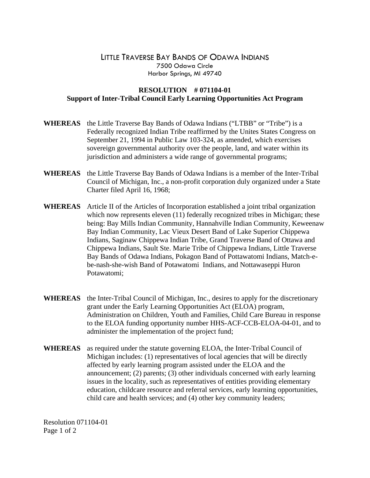## LITTLE TRAVERSE BAY BANDS OF ODAWA INDIANS 7500 Odawa Circle Harbor Springs, MI 49740

## **RESOLUTION # 071104-01 Support of Inter-Tribal Council Early Learning Opportunities Act Program**

- **WHEREAS** the Little Traverse Bay Bands of Odawa Indians ("LTBB" or "Tribe") is a Federally recognized Indian Tribe reaffirmed by the Unites States Congress on September 21, 1994 in Public Law 103-324, as amended, which exercises sovereign governmental authority over the people, land, and water within its jurisdiction and administers a wide range of governmental programs;
- **WHEREAS** the Little Traverse Bay Bands of Odawa Indians is a member of the Inter-Tribal Council of Michigan, Inc., a non-profit corporation duly organized under a State Charter filed April 16, 1968;
- **WHEREAS** Article II of the Articles of Incorporation established a joint tribal organization which now represents eleven (11) federally recognized tribes in Michigan; these being: Bay Mills Indian Community, Hannahville Indian Community, Keweenaw Bay Indian Community, Lac Vieux Desert Band of Lake Superior Chippewa Indians, Saginaw Chippewa Indian Tribe, Grand Traverse Band of Ottawa and Chippewa Indians, Sault Ste. Marie Tribe of Chippewa Indians, Little Traverse Bay Bands of Odawa Indians, Pokagon Band of Pottawatomi Indians, Match-ebe-nash-she-wish Band of Potawatomi Indians, and Nottawaseppi Huron Potawatomi;
- **WHEREAS** the Inter-Tribal Council of Michigan, Inc., desires to apply for the discretionary grant under the Early Learning Opportunities Act (ELOA) program, Administration on Children, Youth and Families, Child Care Bureau in response to the ELOA funding opportunity number HHS-ACF-CCB-ELOA-04-01, and to administer the implementation of the project fund;
- **WHEREAS** as required under the statute governing ELOA, the Inter-Tribal Council of Michigan includes: (1) representatives of local agencies that will be directly affected by early learning program assisted under the ELOA and the announcement; (2) parents; (3) other individuals concerned with early learning issues in the locality, such as representatives of entities providing elementary education, childcare resource and referral services, early learning opportunities, child care and health services; and (4) other key community leaders;

Resolution 071104-01 Page 1 of 2